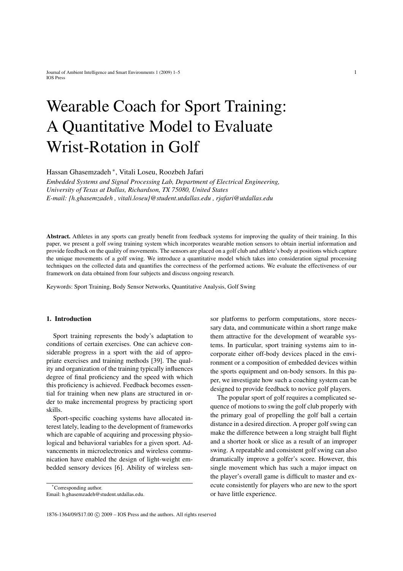# Wearable Coach for Sport Training: A Quantitative Model to Evaluate Wrist-Rotation in Golf

Hassan Ghasemzadeh <sup>∗</sup> , Vitali Loseu, Roozbeh Jafari

*Embedded Systems and Signal Processing Lab, Department of Electrical Engineering, University of Texas at Dallas, Richardson, TX 75080, United States E-mail: {h.ghasemzadeh , vitali.loseu}@student.utdallas.edu , rjafari@utdallas.edu*

Abstract. Athletes in any sports can greatly benefit from feedback systems for improving the quality of their training. In this paper, we present a golf swing training system which incorporates wearable motion sensors to obtain inertial information and provide feedback on the quality of movements. The sensors are placed on a golf club and athlete's body at positions which capture the unique movements of a golf swing. We introduce a quantitative model which takes into consideration signal processing techniques on the collected data and quantifies the correctness of the performed actions. We evaluate the effectiveness of our framework on data obtained from four subjects and discuss ongoing research.

Keywords: Sport Training, Body Sensor Networks, Quantitative Analysis, Golf Swing

# 1. Introduction

Sport training represents the body's adaptation to conditions of certain exercises. One can achieve considerable progress in a sport with the aid of appropriate exercises and training methods [39]. The quality and organization of the training typically influences degree of final proficiency and the speed with which this proficiency is achieved. Feedback becomes essential for training when new plans are structured in order to make incremental progress by practicing sport skills.

Sport-specific coaching systems have allocated interest lately, leading to the development of frameworks which are capable of acquiring and processing physiological and behavioral variables for a given sport. Advancements in microelectronics and wireless communication have enabled the design of light-weight embedded sensory devices [6]. Ability of wireless sen-

\*Corresponding author. Email: h.ghasemzadeh@student.utdallas.edu.

sor platforms to perform computations, store necessary data, and communicate within a short range make them attractive for the development of wearable systems. In particular, sport training systems aim to incorporate either off-body devices placed in the environment or a composition of embedded devices within the sports equipment and on-body sensors. In this paper, we investigate how such a coaching system can be designed to provide feedback to novice golf players.

The popular sport of golf requires a complicated sequence of motions to swing the golf club properly with the primary goal of propelling the golf ball a certain distance in a desired direction. A proper golf swing can make the difference between a long straight ball flight and a shorter hook or slice as a result of an improper swing. A repeatable and consistent golf swing can also dramatically improve a golfer's score. However, this single movement which has such a major impact on the player's overall game is difficult to master and execute consistently for players who are new to the sport or have little experience.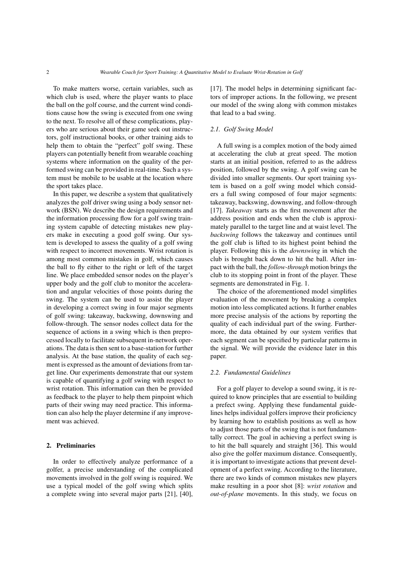To make matters worse, certain variables, such as which club is used, where the player wants to place the ball on the golf course, and the current wind conditions cause how the swing is executed from one swing to the next. To resolve all of these complications, players who are serious about their game seek out instructors, golf instructional books, or other training aids to help them to obtain the "perfect" golf swing. These players can potentially benefit from wearable coaching systems where information on the quality of the performed swing can be provided in real-time. Such a system must be mobile to be usable at the location where the sport takes place.

In this paper, we describe a system that qualitatively analyzes the golf driver swing using a body sensor network (BSN). We describe the design requirements and the information processing flow for a golf swing training system capable of detecting mistakes new players make in executing a good golf swing. Our system is developed to assess the quality of a golf swing with respect to incorrect movements. Wrist rotation is among most common mistakes in golf, which causes the ball to fly either to the right or left of the target line. We place embedded sensor nodes on the player's upper body and the golf club to monitor the acceleration and angular velocities of those points during the swing. The system can be used to assist the player in developing a correct swing in four major segments of golf swing: takeaway, backswing, downswing and follow-through. The sensor nodes collect data for the sequence of actions in a swing which is then preprocessed locally to facilitate subsequent in-network operations. The data is then sent to a base-station for further analysis. At the base station, the quality of each segment is expressed as the amount of deviations from target line. Our experiments demonstrate that our system is capable of quantifying a golf swing with respect to wrist rotation. This information can then be provided as feedback to the player to help them pinpoint which parts of their swing may need practice. This information can also help the player determine if any improvement was achieved.

### 2. Preliminaries

In order to effectively analyze performance of a golfer, a precise understanding of the complicated movements involved in the golf swing is required. We use a typical model of the golf swing which splits a complete swing into several major parts [21], [40], [17]. The model helps in determining significant factors of improper actions. In the following, we present our model of the swing along with common mistakes that lead to a bad swing.

# *2.1. Golf Swing Model*

A full swing is a complex motion of the body aimed at accelerating the club at great speed. The motion starts at an initial position, referred to as the address position, followed by the swing. A golf swing can be divided into smaller segments. Our sport training system is based on a golf swing model which considers a full swing composed of four major segments: takeaway, backswing, downswing, and follow-through [17]. *Takeaway* starts as the first movement after the address position and ends when the club is approximately parallel to the target line and at waist level. The *backswing* follows the takeaway and continues until the golf club is lifted to its highest point behind the player. Following this is the *downswing* in which the club is brought back down to hit the ball. After impact with the ball, the *follow-through* motion brings the club to its stopping point in front of the player. These segments are demonstrated in Fig. 1.

The choice of the aforementioned model simplifies evaluation of the movement by breaking a complex motion into less complicated actions. It further enables more precise analysis of the actions by reporting the quality of each individual part of the swing. Furthermore, the data obtained by our system verifies that each segment can be specified by particular patterns in the signal. We will provide the evidence later in this paper.

#### *2.2. Fundamental Guidelines*

For a golf player to develop a sound swing, it is required to know principles that are essential to building a prefect swing. Applying these fundamental guidelines helps individual golfers improve their proficiency by learning how to establish positions as well as how to adjust those parts of the swing that is not fundamentally correct. The goal in achieving a perfect swing is to hit the ball squarely and straight [36]. This would also give the golfer maximum distance. Consequently, it is important to investigate actions that prevent development of a perfect swing. According to the literature, there are two kinds of common mistakes new players make resulting in a poor shot [8]: *wrist rotation* and *out-of-plane* movements. In this study, we focus on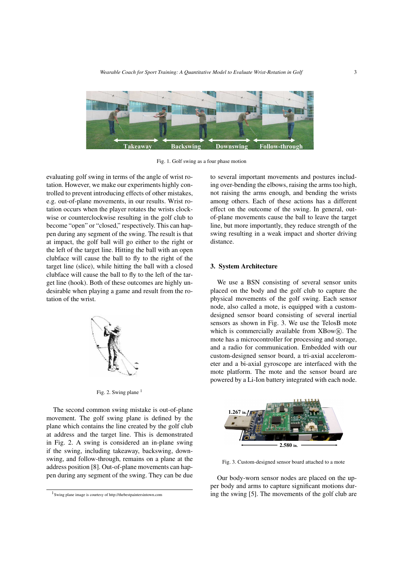

Fig. 1. Golf swing as a four phase motion

evaluating golf swing in terms of the angle of wrist rotation. However, we make our experiments highly controlled to prevent introducing effects of other mistakes, e.g. out-of-plane movements, in our results. Wrist rotation occurs when the player rotates the wrists clockwise or counterclockwise resulting in the golf club to become "open" or "closed," respectively. This can happen during any segment of the swing. The result is that at impact, the golf ball will go either to the right or the left of the target line. Hitting the ball with an open clubface will cause the ball to fly to the right of the target line (slice), while hitting the ball with a closed clubface will cause the ball to fly to the left of the target line (hook). Both of these outcomes are highly undesirable when playing a game and result from the rotation of the wrist.



Fig. 2. Swing plane  $<sup>1</sup>$ </sup>

The second common swing mistake is out-of-plane movement. The golf swing plane is defined by the plane which contains the line created by the golf club at address and the target line. This is demonstrated in Fig. 2. A swing is considered an in-plane swing if the swing, including takeaway, backswing, downswing, and follow-through, remains on a plane at the address position [8]. Out-of-plane movements can happen during any segment of the swing. They can be due to several important movements and postures including over-bending the elbows, raising the arms too high, not raising the arms enough, and bending the wrists among others. Each of these actions has a different effect on the outcome of the swing. In general, outof-plane movements cause the ball to leave the target line, but more importantly, they reduce strength of the swing resulting in a weak impact and shorter driving distance.

#### 3. System Architecture

We use a BSN consisting of several sensor units placed on the body and the golf club to capture the physical movements of the golf swing. Each sensor node, also called a mote, is equipped with a customdesigned sensor board consisting of several inertial sensors as shown in Fig. 3. We use the TelosB mote which is commercially available from  $XBow(\mathbb{R})$ . The mote has a microcontroller for processing and storage, and a radio for communication. Embedded with our custom-designed sensor board, a tri-axial accelerometer and a bi-axial gyroscope are interfaced with the mote platform. The mote and the sensor board are powered by a Li-Ion battery integrated with each node.



Fig. 3. Custom-designed sensor board attached to a mote

Our body-worn sensor nodes are placed on the upper body and arms to capture significant motions during the swing [5]. The movements of the golf club are

<sup>1</sup> Swing plane image is courtesy of http://thebestpaintersintown.com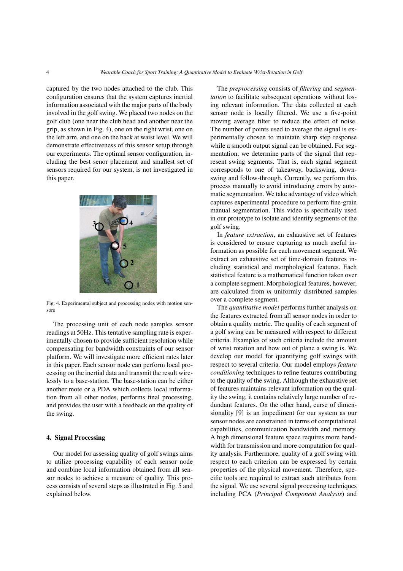captured by the two nodes attached to the club. This configuration ensures that the system captures inertial information associated with the major parts of the body involved in the golf swing. We placed two nodes on the golf club (one near the club head and another near the grip, as shown in Fig. 4), one on the right wrist, one on the left arm, and one on the back at waist level. We will demonstrate effectiveness of this sensor setup through our experiments. The optimal sensor configuration, including the best senor placement and smallest set of sensors required for our system, is not investigated in this paper.



Fig. 4. Experimental subject and processing nodes with motion sensors

The processing unit of each node samples sensor readings at 50Hz. This tentative sampling rate is experimentally chosen to provide sufficient resolution while compensating for bandwidth constraints of our sensor platform. We will investigate more efficient rates later in this paper. Each sensor node can perform local processing on the inertial data and transmit the result wirelessly to a base-station. The base-station can be either another mote or a PDA which collects local information from all other nodes, performs final processing, and provides the user with a feedback on the quality of the swing.

# 4. Signal Processing

Our model for assessing quality of golf swings aims to utilize processing capability of each sensor node and combine local information obtained from all sensor nodes to achieve a measure of quality. This process consists of several steps as illustrated in Fig. 5 and explained below.

The *preprocessing* consists of *filtering* and *segmentation* to facilitate subsequent operations without losing relevant information. The data collected at each sensor node is locally filtered. We use a five-point moving average filter to reduce the effect of noise. The number of points used to average the signal is experimentally chosen to maintain sharp step response while a smooth output signal can be obtained. For segmentation, we determine parts of the signal that represent swing segments. That is, each signal segment corresponds to one of takeaway, backswing, downswing and follow-through. Currently, we perform this process manually to avoid introducing errors by automatic segmentation. We take advantage of video which captures experimental procedure to perform fine-grain manual segmentation. This video is specifically used in our prototype to isolate and identify segments of the golf swing.

In *feature extraction*, an exhaustive set of features is considered to ensure capturing as much useful information as possible for each movement segment. We extract an exhaustive set of time-domain features including statistical and morphological features. Each statistical feature is a mathematical function taken over a complete segment. Morphological features, however, are calculated from *m* uniformly distributed samples over a complete segment.

The *quantitative model* performs further analysis on the features extracted from all sensor nodes in order to obtain a quality metric. The quality of each segment of a golf swing can be measured with respect to different criteria. Examples of such criteria include the amount of wrist rotation and how out of plane a swing is. We develop our model for quantifying golf swings with respect to several criteria. Our model employs *feature conditioning* techniques to refine features contributing to the quality of the swing. Although the exhaustive set of features maintains relevant information on the quality the swing, it contains relatively large number of redundant features. On the other hand, curse of dimensionality [9] is an impediment for our system as our sensor nodes are constrained in terms of computational capabilities, communication bandwidth and memory. A high dimensional feature space requires more bandwidth for transmission and more computation for quality analysis. Furthermore, quality of a golf swing with respect to each criterion can be expressed by certain properties of the physical movement. Therefore, specific tools are required to extract such attributes from the signal. We use several signal processing techniques including PCA (*Principal Component Analysis*) and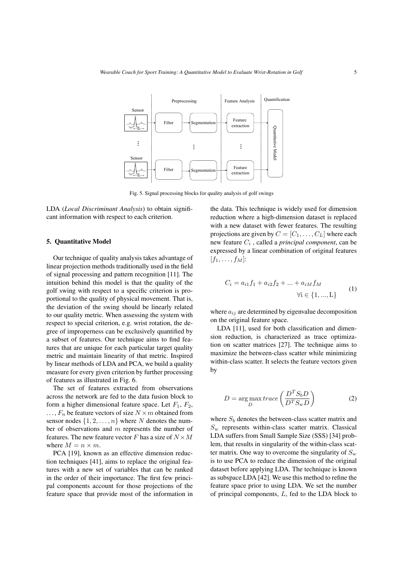Fig. 5. Signal processing blocks for quality analysis of golf swings

LDA (*Local Discriminant Analysis*) to obtain significant information with respect to each criterion.

#### 5. Quantitative Model

Our technique of quality analysis takes advantage of linear projection methods traditionally used in the field of signal processing and pattern recognition [11]. The intuition behind this model is that the quality of the golf swing with respect to a specific criterion is proportional to the quality of physical movement. That is, the deviation of the swing should be linearly related to our quality metric. When assessing the system with respect to special criterion, e.g. wrist rotation, the degree of improperness can be exclusively quantified by a subset of features. Our technique aims to find features that are unique for each particular target quality metric and maintain linearity of that metric. Inspired by linear methods of LDA and PCA, we build a quality measure for every given criterion by further processing of features as illustrated in Fig. 6.

The set of features extracted from observations across the network are fed to the data fusion block to form a higher dimensional feature space. Let  $F_1$ ,  $F_2$ ,  $\ldots$ ,  $F_n$  be feature vectors of size  $N \times m$  obtained from sensor nodes  $\{1, 2, \ldots, n\}$  where N denotes the number of observations and m represents the number of features. The new feature vector F has a size of  $N \times M$ where  $M = n \times m$ .

PCA [19], known as an effective dimension reduction techniques [41], aims to replace the original features with a new set of variables that can be ranked in the order of their importance. The first few principal components account for those projections of the feature space that provide most of the information in the data. This technique is widely used for dimension reduction where a high-dimension dataset is replaced with a new dataset with fewer features. The resulting projections are given by  $C = [C_1, \ldots, C_L]$  where each new feature  $C_i$ , called a *principal component*, can be expressed by a linear combination of original features  $[f_1, \ldots, f_M]$ :

$$
C_i = a_{i1}f_1 + a_{i2}f_2 + \dots + a_{iM}f_M
$$
  
\n
$$
\forall i \in \{1, ..., L\}
$$
 (1)

where  $a_{ij}$  are determined by eigenvalue decomposition on the original feature space.

LDA [11], used for both classification and dimension reduction, is characterized as trace optimization on scatter matrices [27]. The technique aims to maximize the between-class scatter while minimizing within-class scatter. It selects the feature vectors given by

$$
D = \underset{D}{\text{arg max}} \, trace\left(\frac{D^T S_b D}{D^T S_w D}\right) \tag{2}
$$

where  $S_b$  denotes the between-class scatter matrix and  $S_w$  represents within-class scatter matrix. Classical LDA suffers from Small Sample Size (SSS) [34] problem, that results in singularity of the within-class scatter matrix. One way to overcome the singularity of  $S_w$ is to use PCA to reduce the dimension of the original dataset before applying LDA. The technique is known as subspace LDA [42]. We use this method to refine the feature space prior to using LDA. We set the number of principal components, L, fed to the LDA block to



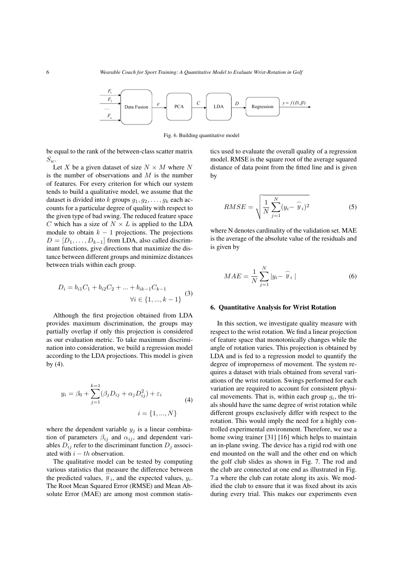

Fig. 6. Building quantitative model

be equal to the rank of the between-class scatter matrix  $S_w$ .

Let X be a given dataset of size  $N \times M$  where N is the number of observations and  $M$  is the number of features. For every criterion for which our system tends to build a qualitative model, we assume that the dataset is divided into k groups  $g_1, g_2, \ldots, g_k$  each accounts for a particular degree of quality with respect to the given type of bad swing. The reduced feature space C which has a size of  $N \times L$  is applied to the LDA module to obtain  $k - 1$  projections. The projections  $D = [D_1, \ldots, D_{k-1}]$  from LDA, also called discriminant functions, give directions that maximize the distance between different groups and minimize distances between trials within each group.

$$
D_i = b_{i1}C_1 + b_{i2}C_2 + \dots + b_{ik-1}C_{k-1}
$$
  

$$
\forall i \in \{1, ..., k-1\}
$$
 (3)

Although the first projection obtained from LDA provides maximum discrimination, the groups may partially overlap if only this projection is considered as our evaluation metric. To take maximum discrimination into consideration, we build a regression model according to the LDA projections. This model is given by (4).

$$
y_i = \beta_0 + \sum_{j=1}^{k=1} (\beta_j D_{ij} + \alpha_j D_{ij}^2) + \varepsilon_i
$$
  
(4)  

$$
i = \{1, ..., N\}
$$

where the dependent variable  $y_i$  is a linear combination of parameters  $\beta_{ij}$  and  $\alpha_{ij}$ , and dependent variables  $D_{ij}$  refer to the discriminant function  $D_i$  associated with  $i - th$  observation.

The qualitative model can be tested by computing various statistics that measure the difference between the predicted values,  $\hat{y}_i$ , and the expected values,  $y_i$ . The Root Mean Squared Error (RMSE) and Mean Absolute Error (MAE) are among most common statistics used to evaluate the overall quality of a regression model. RMSE is the square root of the average squared distance of data point from the fitted line and is given by

$$
RMSE = \sqrt{\frac{1}{N} \sum_{j=1}^{N} (y_i - \widehat{y}_i)^2}
$$
 (5)

where N denotes cardinality of the validation set. MAE is the average of the absolute value of the residuals and is given by

$$
MAE = \frac{1}{N} \sum_{j=1}^{N} |y_i - \widehat{y}_i|
$$
\n(6)

#### 6. Quantitative Analysis for Wrist Rotation

In this section, we investigate quality measure with respect to the wrist rotation. We find a linear projection of feature space that monotonically changes while the angle of rotation varies. This projection is obtained by LDA and is fed to a regression model to quantify the degree of improperness of movement. The system requires a dataset with trials obtained from several variations of the wrist rotation. Swings performed for each variation are required to account for consistent physical movements. That is, within each group  $g_i$ , the trials should have the same degree of wrist rotation while different groups exclusively differ with respect to the rotation. This would imply the need for a highly controlled experimental environment. Therefore, we use a home swing trainer [31] [16] which helps to maintain an in-plane swing. The device has a rigid rod with one end mounted on the wall and the other end on which the golf club slides as shown in Fig. 7. The rod and the club are connected at one end as illustrated in Fig. 7.a where the club can rotate along its axis. We modified the club to ensure that it was fixed about its axis during every trial. This makes our experiments even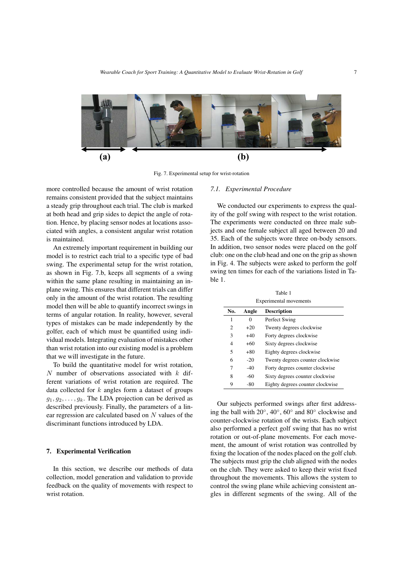

Fig. 7. Experimental setup for wrist-rotation

more controlled because the amount of wrist rotation remains consistent provided that the subject maintains a steady grip throughout each trial. The club is marked at both head and grip sides to depict the angle of rotation. Hence, by placing sensor nodes at locations associated with angles, a consistent angular wrist rotation is maintained.

An extremely important requirement in building our model is to restrict each trial to a specific type of bad swing. The experimental setup for the wrist rotation, as shown in Fig. 7.b, keeps all segments of a swing within the same plane resulting in maintaining an inplane swing. This ensures that different trials can differ only in the amount of the wrist rotation. The resulting model then will be able to quantify incorrect swings in terms of angular rotation. In reality, however, several types of mistakes can be made independently by the golfer, each of which must be quantified using individual models. Integrating evaluation of mistakes other than wrist rotation into our existing model is a problem that we will investigate in the future.

To build the quantitative model for wrist rotation,  $N$  number of observations associated with  $k$  different variations of wrist rotation are required. The data collected for  $k$  angles form a dataset of groups  $g_1, g_2, \ldots, g_k$ . The LDA projection can be derived as described previously. Finally, the parameters of a linear regression are calculated based on N values of the discriminant functions introduced by LDA.

#### 7. Experimental Verification

In this section, we describe our methods of data collection, model generation and validation to provide feedback on the quality of movements with respect to wrist rotation.

# *7.1. Experimental Procedure*

We conducted our experiments to express the quality of the golf swing with respect to the wrist rotation. The experiments were conducted on three male subjects and one female subject all aged between 20 and 35. Each of the subjects wore three on-body sensors. In addition, two sensor nodes were placed on the golf club: one on the club head and one on the grip as shown in Fig. 4. The subjects were asked to perform the golf swing ten times for each of the variations listed in Table 1.

Table 1

| <b>Experimental movements</b> |       |                                  |  |  |  |  |  |  |
|-------------------------------|-------|----------------------------------|--|--|--|--|--|--|
| No.                           | Angle | <b>Description</b>               |  |  |  |  |  |  |
| 1                             | 0     | Perfect Swing                    |  |  |  |  |  |  |
| $\overline{c}$                | $+20$ | Twenty degrees clockwise         |  |  |  |  |  |  |
| 3                             | $+40$ | Forty degrees clockwise          |  |  |  |  |  |  |
| 4                             | $+60$ | Sixty degrees clockwise          |  |  |  |  |  |  |
| 5                             | $+80$ | Eighty degrees clockwise         |  |  |  |  |  |  |
| 6                             | $-20$ | Twenty degrees counter clockwise |  |  |  |  |  |  |
| 7                             | $-40$ | Forty degrees counter clockwise  |  |  |  |  |  |  |
| 8                             | $-60$ | Sixty degrees counter clockwise  |  |  |  |  |  |  |
| 9                             | -80   | Eighty degrees counter clockwise |  |  |  |  |  |  |

Our subjects performed swings after first addressing the ball with  $20^{\circ}$ ,  $40^{\circ}$ ,  $60^{\circ}$  and  $80^{\circ}$  clockwise and counter-clockwise rotation of the wrists. Each subject also performed a perfect golf swing that has no wrist rotation or out-of-plane movements. For each movement, the amount of wrist rotation was controlled by fixing the location of the nodes placed on the golf club. The subjects must grip the club aligned with the nodes on the club. They were asked to keep their wrist fixed throughout the movements. This allows the system to control the swing plane while achieving consistent angles in different segments of the swing. All of the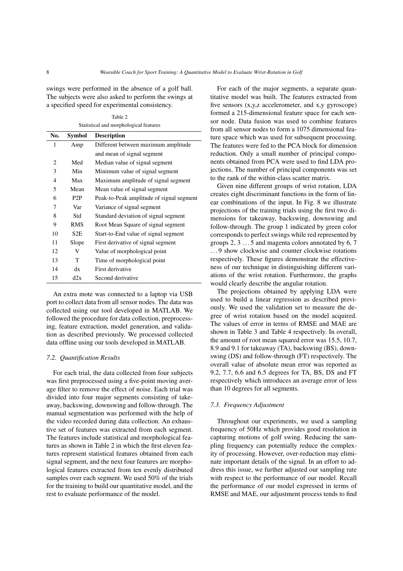swings were performed in the absence of a golf ball. The subjects were also asked to perform the swings at a specified speed for experimental consistency.

Table 2 Statistical and morphological features

| Symbol           | <b>Description</b>                       |  |  |
|------------------|------------------------------------------|--|--|
| Amp              | Different between maximum amplitude      |  |  |
|                  | and mean of signal segment               |  |  |
| Med              | Median value of signal segment           |  |  |
| Min              | Minimum value of signal segment          |  |  |
| Max              | Maximum amplitude of signal segment      |  |  |
| Mean             | Mean value of signal segment             |  |  |
| P <sub>2</sub> P | Peak-to-Peak amplitude of signal segment |  |  |
| Var              | Variance of signal segment               |  |  |
| Std              | Standard deviation of signal segment     |  |  |
| <b>RMS</b>       | Root Mean Square of signal segment       |  |  |
| S <sub>2</sub> E | Start-to-End value of signal segment     |  |  |
| Slope            | First derivative of signal segment       |  |  |
| V                | Value of morphological point             |  |  |
| T                | Time of morphological point              |  |  |
| dx               | First derivative                         |  |  |
| d2x              | Second derivative                        |  |  |
|                  |                                          |  |  |

An extra mote was connected to a laptop via USB port to collect data from all sensor nodes. The data was collected using our tool developed in MATLAB. We followed the procedure for data collection, preprocessing, feature extraction, model generation, and validation as described previously. We processed collected data offline using our tools developed in MATLAB.

#### *7.2. Quantification Results*

For each trial, the data collected from four subjects was first preprocessed using a five-point moving average filter to remove the effect of noise. Each trial was divided into four major segments consisting of takeaway, backswing, downswing and follow-through. The manual segmentation was performed with the help of the video recorded during data collection. An exhaustive set of features was extracted from each segment. The features include statistical and morphological features as shown in Table 2 in which the first eleven features represent statistical features obtained from each signal segment, and the next four features are morphological features extracted from ten evenly distributed samples over each segment. We used 50% of the trials for the training to build our quantitative model, and the rest to evaluate performance of the model.

For each of the major segments, a separate quantitative model was built. The features extracted from five sensors (x,y,z accelerometer, and x,y gyroscope) formed a 215-dimensional feature space for each sensor node. Data fusion was used to combine features from all sensor nodes to form a 1075 dimensional feature space which was used for subsequent processing. The features were fed to the PCA block for dimension reduction. Only a small number of principal components obtained from PCA were used to find LDA projections. The number of principal components was set to the rank of the within-class scatter matrix.

Given nine different groups of wrist rotation, LDA creates eight discriminant functions in the form of linear combinations of the input. In Fig. 8 we illustrate projections of the training trials using the first two dimensions for takeaway, backswing, downswing and follow-through. The group 1 indicated by green color corresponds to perfect swings while red represented by groups 2, 3 . . . 5 and magenta colors annotated by 6, 7 . . . 9 show clockwise and counter clockwise rotations respectively. These figures demonstrate the effectiveness of our technique in distinguishing different variations of the wrist rotation. Furthermore, the graphs would clearly describe the angular rotation.

The projections obtained by applying LDA were used to build a linear regression as described previously. We used the validation set to measure the degree of wrist rotation based on the model acquired. The values of error in terms of RMSE and MAE are shown in Table 3 and Table 4 respectively. In overall, the amount of root mean squared error was 15.5, 10.7, 8.9 and 9.1 for takeaway (TA), backswing (BS), downswing (DS) and follow-through (FT) respectively. The overall value of absolute mean error was reported as 9.2, 7.7, 6.6 and 6.5 degrees for TA, BS, DS and FT respectively which introduces an average error of less than 10 degrees for all segments.

# *7.3. Frequency Adjustment*

Throughout our experiments, we used a sampling frequency of 50Hz which provides good resolution in capturing motions of golf swing. Reducing the sampling frequency can potentially reduce the complexity of processing. However, over-reduction may eliminate important details of the signal. In an effort to address this issue, we further adjusted our sampling rate with respect to the performance of our model. Recall the performance of our model expressed in terms of RMSE and MAE, our adjustment process tends to find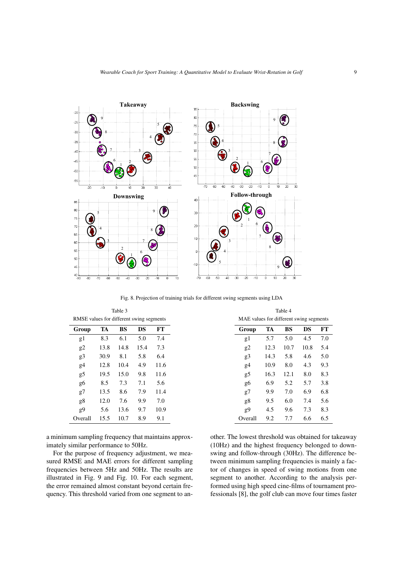

Fig. 8. Projection of training trials for different swing segments using LDA

| Table 3                                  |      |           |      |      |  |  |  |  |
|------------------------------------------|------|-----------|------|------|--|--|--|--|
| RMSE values for different swing segments |      |           |      |      |  |  |  |  |
| Group                                    | TA   | <b>BS</b> | DS   | FT   |  |  |  |  |
| g1                                       | 8.3  | 6.1       | 5.0  | 7.4  |  |  |  |  |
| g2                                       | 13.8 | 14.8      | 15.4 | 7.3  |  |  |  |  |
| g3                                       | 30.9 | 8.1       | 5.8  | 6.4  |  |  |  |  |
| g4                                       | 12.8 | 10.4      | 4.9  | 11.6 |  |  |  |  |
| g5                                       | 19.5 | 15.0      | 9.8  | 11.6 |  |  |  |  |
| g6                                       | 8.5  | 7.3       | 7.1  | 5.6  |  |  |  |  |
| g7                                       | 13.5 | 8.6       | 7.9  | 11.4 |  |  |  |  |
| g8                                       | 12.0 | 7.6       | 9.9  | 7.0  |  |  |  |  |
| g9                                       | 5.6  | 13.6      | 9.7  | 10.9 |  |  |  |  |
| Overall                                  | 15.5 | 10.7      | 8.9  | 9.1  |  |  |  |  |

a minimum sampling frequency that maintains approximately similar performance to 50Hz.

For the purpose of frequency adjustment, we measured RMSE and MAE errors for different sampling frequencies between 5Hz and 50Hz. The results are illustrated in Fig. 9 and Fig. 10. For each segment, the error remained almost constant beyond certain frequency. This threshold varied from one segment to an-

| MAE values for different swing segments |      |      |      |     |  |  |  |
|-----------------------------------------|------|------|------|-----|--|--|--|
| Group                                   | TA   | BS   | DS   | FТ  |  |  |  |
| g1                                      | 5.7  | 5.0  | 4.5  | 7.0 |  |  |  |
| g2                                      | 12.3 | 10.7 | 10.8 | 5.4 |  |  |  |
| g3                                      | 14.3 | 5.8  | 4.6  | 5.0 |  |  |  |
| g4                                      | 10.9 | 8.0  | 4.3  | 9.3 |  |  |  |
| g5                                      | 16.3 | 12.1 | 8.0  | 8.3 |  |  |  |
| g6                                      | 6.9  | 5.2  | 5.7  | 3.8 |  |  |  |
| g7                                      | 9.9  | 7.0  | 6.9  | 6.8 |  |  |  |
| g8                                      | 9.5  | 6.0  | 7.4  | 5.6 |  |  |  |
| g9                                      | 4.5  | 9.6  | 7.3  | 8.3 |  |  |  |
| Overall                                 | 9.2  | 7.7  | 6.6  | 6.5 |  |  |  |

Table 4

other. The lowest threshold was obtained for takeaway (10Hz) and the highest frequency belonged to downswing and follow-through (30Hz). The difference between minimum sampling frequencies is mainly a factor of changes in speed of swing motions from one segment to another. According to the analysis performed using high speed cine-films of tournament professionals [8], the golf club can move four times faster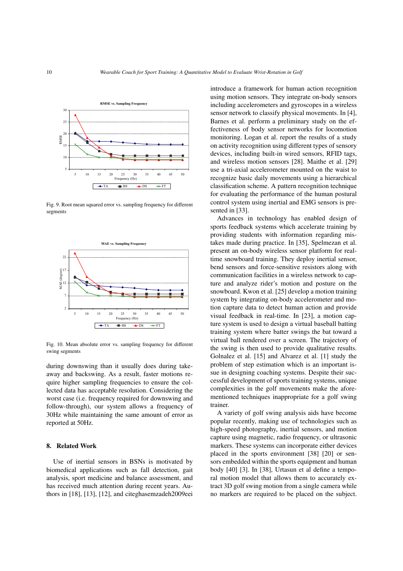

Fig. 9. Root mean squared error vs. sampling frequency for different segments



Fig. 10. Mean absolute error vs. sampling frequency for different swing segments

during downswing than it usually does during takeaway and backswing. As a result, faster motions require higher sampling frequencies to ensure the collected data has acceptable resolution. Considering the worst case (i.e. frequency required for downswing and follow-through), our system allows a frequency of 30Hz while maintaining the same amount of error as reported at 50Hz.

#### 8. Related Work

Use of inertial sensors in BSNs is motivated by biomedical applications such as fall detection, gait analysis, sport medicine and balance assessment, and has received much attention during recent years. Authors in [18], [13], [12], and citeghasemzadeh2009eei introduce a framework for human action recognition using motion sensors. They integrate on-body sensors including accelerometers and gyroscopes in a wireless sensor network to classify physical movements. In [4], Barnes et al. perform a preliminary study on the effectiveness of body sensor networks for locomotion monitoring. Logan et al. report the results of a study on activity recognition using different types of sensory devices, including built-in wired sensors, RFID tags, and wireless motion sensors [28]. Maithe et al. [29] use a tri-axial accelerometer mounted on the waist to recognize basic daily movements using a hierarchical classification scheme. A pattern recognition technique for evaluating the performance of the human postural control system using inertial and EMG sensors is presented in [33].

Advances in technology has enabled design of sports feedback systems which accelerate training by providing students with information regarding mistakes made during practice. In [35], Spelmezan et al. present an on-body wireless sensor platform for realtime snowboard training. They deploy inertial sensor, bend sensors and force-sensitive resistors along with communication facilities in a wireless network to capture and analyze rider's motion and posture on the snowboard. Kwon et al. [25] develop a motion training system by integrating on-body accelerometer and motion capture data to detect human action and provide visual feedback in real-time. In [23], a motion capture system is used to design a virtual baseball batting training system where batter swings the bat toward a virtual ball rendered over a screen. The trajectory of the swing is then used to provide qualitative results. Golnalez et al. [15] and Alvarez et al. [1] study the problem of step estimation which is an important issue in designing coaching systems. Despite their successful development of sports training systems, unique complexities in the golf movements make the aforementioned techniques inappropriate for a golf swing trainer.

A variety of golf swing analysis aids have become popular recently, making use of technologies such as high-speed photography, inertial sensors, and motion capture using magnetic, radio frequency, or ultrasonic markers. These systems can incorporate either devices placed in the sports environment [38] [20] or sensors embedded within the sports equipment and human body [40] [3]. In [38], Urtasun et al define a temporal motion model that allows them to accurately extract 3D golf swing motion from a single camera while no markers are required to be placed on the subject.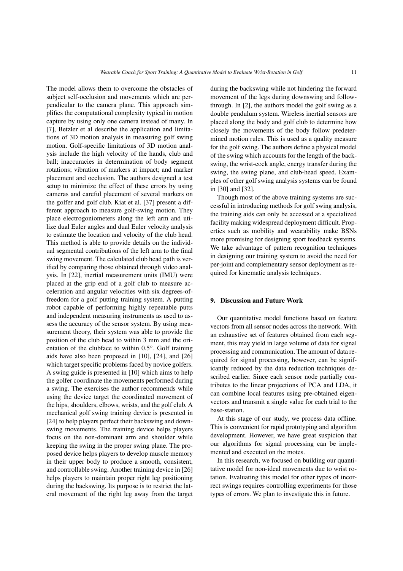The model allows them to overcome the obstacles of subject self-occlusion and movements which are perpendicular to the camera plane. This approach simplifies the computational complexity typical in motion capture by using only one camera instead of many. In [7], Betzler et al describe the application and limitations of 3D motion analysis in measuring golf swing motion. Golf-specific limitations of 3D motion analysis include the high velocity of the hands, club and ball; inaccuracies in determination of body segment rotations; vibration of markers at impact; and marker placement and occlusion. The authors designed a test setup to minimize the effect of these errors by using cameras and careful placement of several markers on the golfer and golf club. Kiat et al. [37] present a different approach to measure golf-swing motion. They place electrogoniometers along the left arm and utilize dual Euler angles and dual Euler velocity analysis to estimate the location and velocity of the club head. This method is able to provide details on the individual segmental contributions of the left arm to the final swing movement. The calculated club head path is verified by comparing those obtained through video analysis. In [22], inertial measurement units (IMU) were placed at the grip end of a golf club to measure acceleration and angular velocities with six degrees-offreedom for a golf putting training system. A putting robot capable of performing highly repeatable putts and independent measuring instruments as used to assess the accuracy of the sensor system. By using measurement theory, their system was able to provide the position of the club head to within 3 mm and the orientation of the clubface to within 0.5◦ . Golf training aids have also been proposed in [10], [24], and [26] which target specific problems faced by novice golfers. A swing guide is presented in [10] which aims to help the golfer coordinate the movements performed during a swing. The exercises the author recommends while using the device target the coordinated movement of the hips, shoulders, elbows, wrists, and the golf club. A mechanical golf swing training device is presented in [24] to help players perfect their backswing and downswing movements. The training device helps players focus on the non-dominant arm and shoulder while keeping the swing in the proper swing plane. The proposed device helps players to develop muscle memory in their upper body to produce a smooth, consistent, and controllable swing. Another training device in [26] helps players to maintain proper right leg positioning during the backswing. Its purpose is to restrict the lateral movement of the right leg away from the target

during the backswing while not hindering the forward movement of the legs during downswing and followthrough. In [2], the authors model the golf swing as a double pendulum system. Wireless inertial sensors are placed along the body and golf club to determine how closely the movements of the body follow predetermined motion rules. This is used as a quality measure for the golf swing. The authors define a physical model of the swing which accounts for the length of the backswing, the wrist-cock angle, energy transfer during the swing, the swing plane, and club-head speed. Examples of other golf swing analysis systems can be found in [30] and [32].

Though most of the above training systems are successful in introducing methods for golf swing analysis, the training aids can only be accessed at a specialized facility making widespread deployment difficult. Properties such as mobility and wearability make BSNs more promising for designing sport feedback systems. We take advantage of pattern recognition techniques in designing our training system to avoid the need for per-joint and complementary sensor deployment as required for kinematic analysis techniques.

# 9. Discussion and Future Work

Our quantitative model functions based on feature vectors from all sensor nodes across the network. With an exhaustive set of features obtained from each segment, this may yield in large volume of data for signal processing and communication. The amount of data required for signal processing, however, can be significantly reduced by the data reduction techniques described earlier. Since each sensor node partially contributes to the linear projections of PCA and LDA, it can combine local features using pre-obtained eigenvectors and transmit a single value for each trial to the base-station.

At this stage of our study, we process data offline. This is convenient for rapid prototyping and algorithm development. However, we have great suspicion that our algorithms for signal processing can be implemented and executed on the motes.

In this research, we focused on building our quantitative model for non-ideal movements due to wrist rotation. Evaluating this model for other types of incorrect swings requires controlling experiments for those types of errors. We plan to investigate this in future.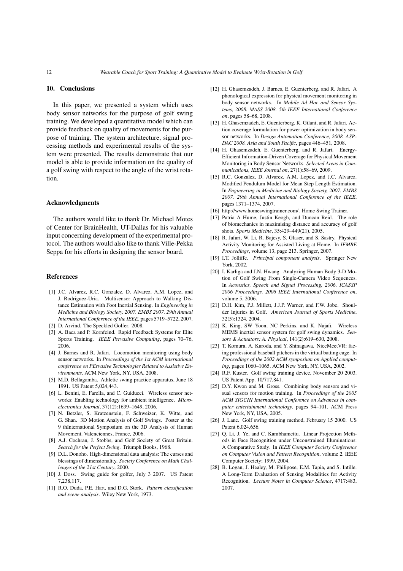# 10. Conclusions

In this paper, we presented a system which uses body sensor networks for the purpose of golf swing training. We developed a quantitative model which can provide feedback on quality of movements for the purpose of training. The system architecture, signal processing methods and experimental results of the system were presented. The results demonstrate that our model is able to provide information on the quality of a golf swing with respect to the angle of the wrist rotation.

### Acknowledgments

The authors would like to thank Dr. Michael Motes of Center for BrainHealth, UT-Dallas for his valuable input concerning development of the experimental protocol. The authors would also like to thank Ville-Pekka Seppa for his efforts in designing the sensor board.

### References

- [1] J.C. Alvarez, R.C. Gonzalez, D. Alvarez, A.M. Lopez, and J. Rodriguez-Uria. Multisensor Approach to Walking Distance Estimation with Foot Inertial Sensing. In *Engineering in Medicine and Biology Society, 2007. EMBS 2007. 29th Annual International Conference of the IEEE*, pages 5719–5722, 2007.
- [2] D. Arvind. The Speckled Golfer. 2008.
- [3] A. Baca and P. Kornfeind. Rapid Feedback Systems for Elite Sports Training. *IEEE Pervasive Computing*, pages 70–76, 2006.
- [4] J. Barnes and R. Jafari. Locomotion monitoring using body sensor networks. In *Proceedings of the 1st ACM international conference on PErvasive Technologies Related to Assistive Environments*. ACM New York, NY, USA, 2008.
- [5] M.D. Bellagamba. Athletic swing practice apparatus, June 18 1991. US Patent 5,024,443.
- [6] L. Benini, E. Farella, and C. Guiducci. Wireless sensor networks: Enabling technology for ambient intelligence. *Microelectronics Journal*, 37(12):1639–1649, 2006.
- [7] N. Betzler, S. Kratzenstein, F. Schweizer, K. Witte, and G. Shan. 3D Motion Analysis of Golf Swings. Poster at the 9 thInternational Symposium on the 3D Analysis of Human Movement. Valenciennes, France, 2006.
- [8] A.J. Cochran, J. Stobbs, and Golf Society of Great Britain. *Search for the Perfect Swing*. Triumph Books, 1968.
- [9] D.L. Donoho. High-dimensional data analysis: The curses and blessings of dimensionality. *Society Conference on Math Challenges of the 21st Century*, 2000.
- [10] J. Doss. Swing guide for golfer, July 3 2007. US Patent 7,238,117.
- [11] R.O. Duda, P.E. Hart, and D.G. Stork. *Pattern classification and scene analysis*. Wiley New York, 1973.
- [12] H. Ghasemzadeh, J. Barnes, E. Guenterberg, and R. Jafari. A phonological expression for physical movement monitoring in body sensor networks. In *Mobile Ad Hoc and Sensor Systems, 2008. MASS 2008. 5th IEEE International Conference on*, pages 58–68, 2008.
- [13] H. Ghasemzadeh, E. Guenterberg, K. Gilani, and R. Jafari. Action coverage formulation for power optimization in body sensor networks. In *Design Automation Conference, 2008. ASP-DAC 2008. Asia and South Pacific*, pages 446–451, 2008.
- [14] H. Ghasemzadeh, E. Guenterberg, and R. Jafari. Energy-Efficient Information-Driven Coverage for Physical Movement Monitoring in Body Sensor Networks. *Selected Areas in Communications, IEEE Journal on*, 27(1):58–69, 2009.
- [15] R.C. Gonzalez, D. Alvarez, A.M. Lopez, and J.C. Alvarez. Modified Pendulum Model for Mean Step Length Estimation. In *Engineering in Medicine and Biology Society, 2007. EMBS 2007. 29th Annual International Conference of the IEEE*, pages 1371–1374, 2007.
- [16] http://www.homeswingtrainer.com/. Home Swing Trainer.
- [17] Patria A Hume, Justin Keogh, and Duncan Reid. The role of biomechanics in maximising distance and accuracy of golf shots. *Sports Medicine*, 35:429–449(21), 2005.
- [18] R. Jafari, W. Li, R. Bajcsy, S. Glaser, and S. Sastry. Physical Activity Monitoring for Assisted Living at Home. In *IFMBE Proceedings*, volume 13, page 213. Springer, 2007.
- [19] I.T. Jolliffe. *Principal component analysis*. Springer New York, 2002.
- [20] I. Karliga and J.N. Hwang. Analyzing Human Body 3-D Motion of Golf Swing From Single-Camera Video Sequences. In *Acoustics, Speech and Signal Processing, 2006. ICASSP 2006 Proceedings. 2006 IEEE International Conference on*, volume 5, 2006.
- [21] D.H. Kim, P.J. Millett, J.J.P. Warner, and F.W. Jobe. Shoulder Injuries in Golf. *American Journal of Sports Medicine*, 32(5):1324, 2004.
- [22] K. King, SW Yoon, NC Perkins, and K. Najafi. Wireless MEMS inertial sensor system for golf swing dynamics. *Sensors & Actuators: A. Physical*, 141(2):619–630, 2008.
- [23] T. Komura, A. Kuroda, and Y. Shinagawa. NiceMeetVR: facing professional baseball pitchers in the virtual batting cage. In *Proceedings of the 2002 ACM symposium on Applied computing*, pages 1060–1065. ACM New York, NY, USA, 2002.
- [24] R.F. Kuster. Golf swing training device, November 20 2003. US Patent App. 10/717,841.
- [25] D.Y. Kwon and M. Gross. Combining body sensors and visual sensors for motion training. In *Proceedings of the 2005 ACM SIGCHI International Conference on Advances in computer entertainment technology*, pages 94–101. ACM Press New York, NY, USA, 2005.
- [26] J. Lane. Golf swing training method, February 15 2000. US Patent 6,024,656.
- [27] Q. Li, J. Ye, and C. Kambhamettu. Linear Projection Methods in Face Recognition under Unconstrained Illuminations: A Comparative Study. In *IEEE Computer Society Conference on Computer Vision and Pattern Recognition*, volume 2. IEEE Computer Society; 1999, 2004.
- [28] B. Logan, J. Healey, M. Philipose, E.M. Tapia, and S. Intille. A Long-Term Evaluation of Sensing Modalities for Activity Recognition. *Lecture Notes in Computer Science*, 4717:483, 2007.